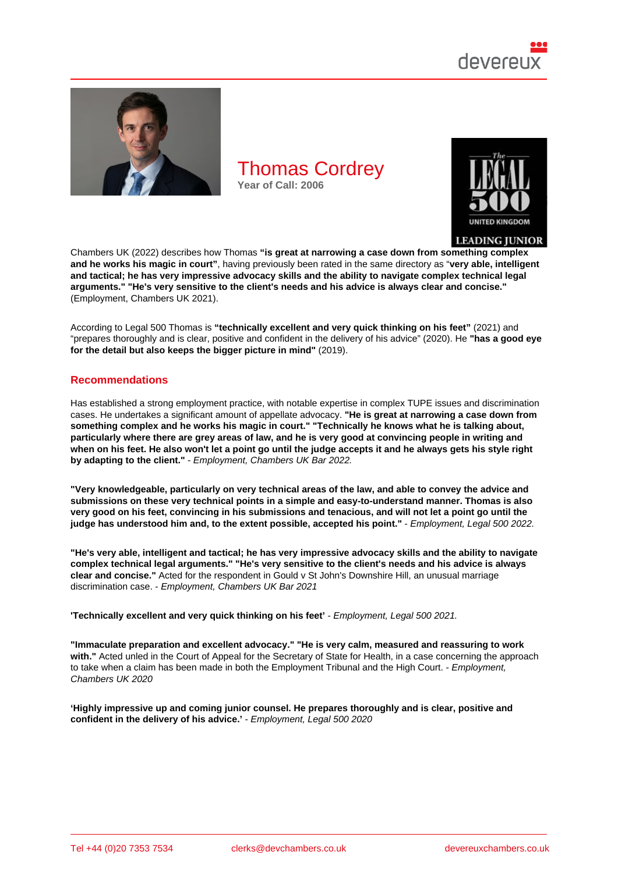

Chambers UK (2022) describes how Thomas "is great at narrowing a case down from something complex and he works his magic in court" , having previously been rated in the same directory as "very able, intelligent and tactical; he has very impressive advocacy skills and the ability to navigate complex technical legal arguments." "He's very sensitive to the client's needs and his advice is always clear and concise." (Employment, Chambers UK 2021).

According to Legal 500 Thomas is "technically excellent and very quick thinking on his feet" (2021) and "prepares thoroughly and is clear, positive and confident in the delivery of his advice" (2020). He "has a good eye for the detail but also keeps the bigger picture in mind" (2019).

#### Recommendations

Has established a strong employment practice, with notable expertise in complex TUPE issues and discrimination cases. He undertakes a significant amount of appellate advocacy. "He is great at narrowing a case down from something complex and he works his magic in court." "Technically he knows what he is talking about, particularly where there are grey areas of law, and he is very good at convincing people in writing and when on his feet. He also won't let a point go until the judge accepts it and he always gets his style right by adapting to the client." - Employment, Chambers UK Bar 2022.

"Very knowledgeable, particularly on very technical areas of the law, and able to convey the advice and submissions on these very technical points in a simple and easy-to-understand manner. Thomas is also very good on his feet, convincing in his submissions and tenacious, and will not let a point go until the judge has understood him and, to the extent possible, accepted his point." - Employment, Legal 500 2022.

"He's very able, intelligent and tactical; he has very impressive advocacy skills and the ability to navigate complex technical legal arguments." "He's very sensitive to the client's needs and his advice is always clear and concise." Acted for the respondent in Gould v St John's Downshire Hill, an unusual marriage discrimination case. - Employment, Chambers UK Bar 2021

'Technically excellent and very quick thinking on his feet' - Employment, Legal 500 2021.

"Immaculate preparation and excellent advocacy." "He is very calm, measured and reassuring to work with." Acted unled in the Court of Appeal for the Secretary of State for Health, in a case concerning the approach to take when a claim has been made in both the Employment Tribunal and the High Court. - Employment, Chambers UK 2020

'Highly impressive up and coming junior counsel. He prepares thoroughly and is clear, positive and confident in the delivery of his advice.' - Employment, Legal 500 2020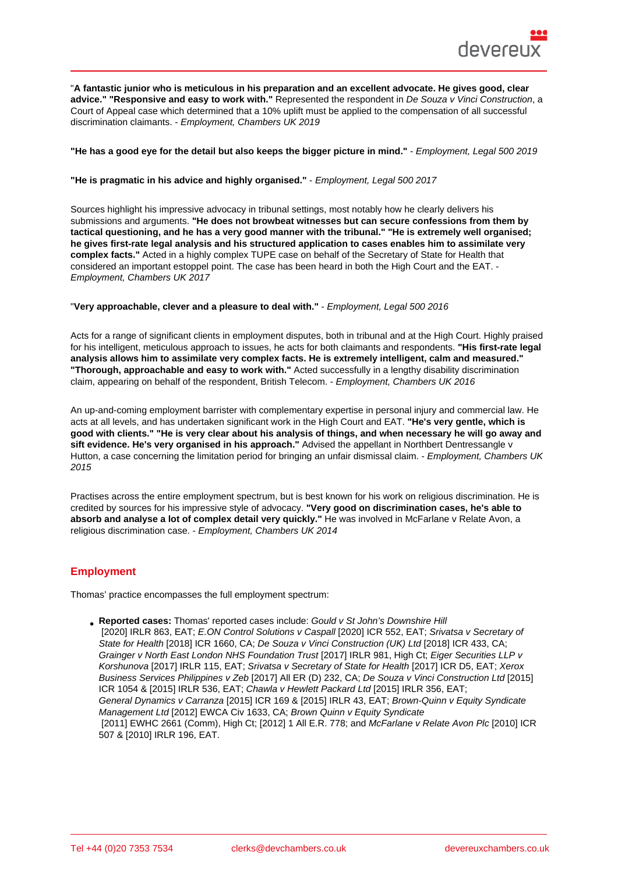"A fantastic junior who is meticulous in his preparation and an excellent advocate. He gives good, clear advice." "Responsive and easy to work with." Represented the respondent in De Souza v Vinci Construction, a Court of Appeal case which determined that a 10% uplift must be applied to the compensation of all successful discrimination claimants. - Employment, Chambers UK 2019

"He has a good eye for the detail but also keeps the bigger picture in mind." - Employment, Legal 500 2019

"He is pragmatic in his advice and highly organised." - Employment, Legal 500 2017

Sources highlight his impressive advocacy in tribunal settings, most notably how he clearly delivers his submissions and arguments. "He does not browbeat witnesses but can secure confessions from them by tactical questioning, and he has a very good manner with the tribunal." "He is extremely well organised; he gives first-rate legal analysis and his structured application to cases enables him to assimilate very complex facts." Acted in a highly complex TUPE case on behalf of the Secretary of State for Health that considered an important estoppel point. The case has been heard in both the High Court and the EAT. - Employment, Chambers UK 2017

"Very approachable, clever and a pleasure to deal with." - Employment, Legal 500 2016

Acts for a range of significant clients in employment disputes, both in tribunal and at the High Court. Highly praised for his intelligent, meticulous approach to issues, he acts for both claimants and respondents. "His first-rate legal analysis allows him to assimilate very complex facts. He is extremely intelligent, calm and measured." "Thorough, approachable and easy to work with." Acted successfully in a lengthy disability discrimination claim, appearing on behalf of the respondent, British Telecom. - Employment, Chambers UK 2016

An up-and-coming employment barrister with complementary expertise in personal injury and commercial law. He acts at all levels, and has undertaken significant work in the High Court and EAT. "He's very gentle, which is good with clients." "He is very clear about his analysis of things, and when necessary he will go away and sift evidence. He's very organised in his approach." Advised the appellant in Northbert Dentressangle Advised the appellant in Northbert Dentressangle v Hutton, a case concerning the limitation period for bringing an unfair dismissal claim. - Employment, Chambers UK 2015

Practises across the entire employment spectrum, but is best known for his work on religious discrimination. He is credited by sources for his impressive style of advocacy. "Very good on discrimination cases, he's able to absorb and analyse a lot of complex detail very quickly." He was involved in McFarlane v Relate Avon, a religious discrimination case. - Employment, Chambers UK 2014

## **Employment**

Thomas' practice encompasses the full employment spectrum:

Reported cases: Thomas' reported cases include: Gould v St John's Downshire Hill [2020] IRLR 863, EAT; E.ON Control Solutions v Caspall [2020] ICR 552, EAT; Srivatsa v Secretary of State for Health [2018] ICR 1660, CA; De Souza v Vinci Construction (UK) Ltd [2018] ICR 433, CA; Grainger v North East London NHS Foundation Trust [2017] IRLR 981, High Ct; Eiger Securities LLP v Korshunova [2017] IRLR 115, EAT; Srivatsa v Secr[etary of State for Health \[2017\] IC](https://www.bailii.org/cgi-bin/format.cgi?doc=/uk/cases/UKEAT/2020/0002_20_0506.html&query=(title:(+gould+))+AND+(title:(+v+))+AND+(title:(+st+))+AND+(title:(+John)R D5, EAT; Xerox Business Services Phili[ppines v Zeb \[2017\] All ER \(D\) 232](https://www.bailii.org/uk/cases/UKEAT/2019/0003_19_1907.html), CA; De Souza v Vin[ci Construction Ltd \[2015](https://www.bailii.org/ew/cases/EWCA/Civ/2018/936.html)] [ICR 1054 & \[201](https://www.bailii.org/ew/cases/EWCA/Civ/2018/936.html)5] IRLR 536, EAT; C[hawla v Hewlett Packard Ltd \[2015\] IRLR](https://www.bailii.org/ew/cases/EWCA/Civ/2017/879.html) 356, EAT; [General Dynamics v Carranza \[2015\] ICR 169 & \[201](https://www.bailii.org/ew/cases/EWHC/QB/2017/2254.html)5] IRLR 43, EAT; Brown-Q[uinn v Equity Syndicate](https://www.bailii.org/uk/cases/UKEAT/2016/0149_16_0212.html) [Managemen](https://www.bailii.org/uk/cases/UKEAT/2016/0149_16_0212.html)t Ltd [2012] EWCA Civ [1633, CA; Brown Quinn v Equity Syndic](https://www.bailii.org/ew/cases/EWHC/QB/2016/2916.html)ate  [\[2011\] EWHC 2661 \(Comm\), High C](https://www.bailii.org/uk/cases/UKEAT/2017/0121_16_2407.html)t; [2012] 1 All E.R. 778; an[d McFarlane v Relate Avon Plc \[2](https://www.bailii.org/uk/cases/UKEAT/2015/0328_14_2003.html)[010\] IC](https://www.bailii.org/uk/cases/UKEAT/2017/0121_16_2407.html)R 507 & [2010] IRLR 196, EAT.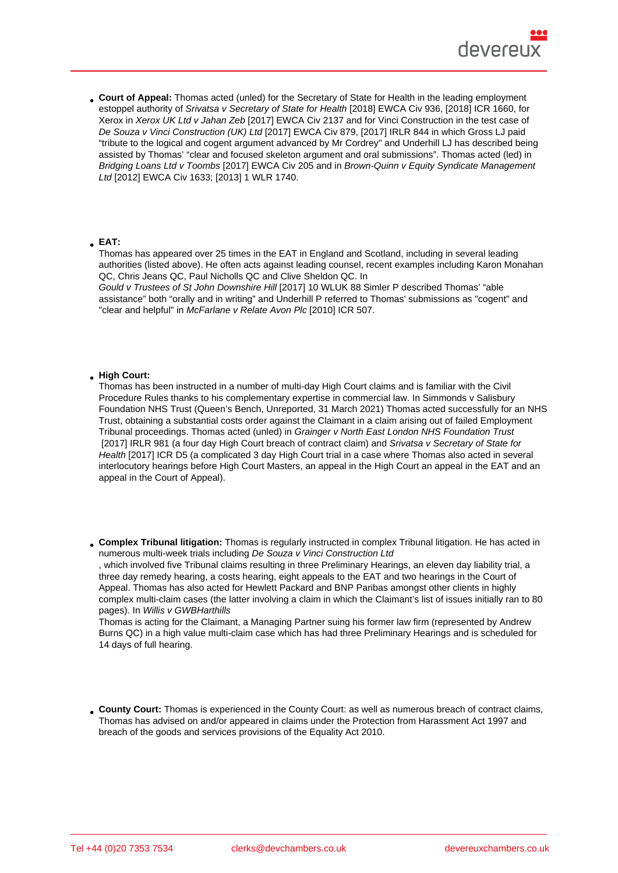Court of Appeal: Thomas acted (unled) for the Secretary of State for Health in the leading employment estoppel authority of Srivatsa v Secretary of State for Health [2018] EWCA Civ 936, [2018] ICR 1660, for Xerox in Xerox UK Ltd v Jahan Zeb [2017] EWCA Civ 2137 and for Vinci Construction in the test case of De Souza v Vinci Construction (UK) Ltd [2017] EWCA Civ 879, [2017] IRLR 844 in which Gross LJ paid "tribute to the logical and cogent argument advanced by Mr Cordrey" and Underhill LJ has described being assisted by Thomas' ["clear and focused skeleton argument a](http://bit.ly/2wDE7jS)nd oral submissions". Thomas acted (led) in Bridging [Loans Ltd v Toombs \[2017](http://bit.ly/2VOK5sP)] EWCA Civ 205 and in Brown-Quinn v Equity Syndicate Management [Ltd \[2012\] EWCA Civ 1633; \[2013\] 1 WL](http://bit.ly/2PSoE6l)R 1740.

EAT:

Thomas has appeared over 25 times in the EAT in England and Scotland, including in several leading authorities (listed above). He often acts against leading counsel, recent examples including Karon Monahan QC, Chris Jeans QC, Paul Nicholls QC and Clive Sheldon QC. In

Gould v Trustees of St John Downshire Hill [2017] 10 WLUK 88 Simler P described Thomas' "able assistance" both "orally and in writing" and Underhill P referred to Thomas' submissions as "cogent" and "clear and helpful" in McFarlane v Relate Avon Plc [2010] ICR 507.

## High Court:

Thomas has been instructed in a number of multi-day High Court claims and is familiar with the Civil Procedure Rules thanks to his complementary expertise in commercial law. In Simmonds v Salisbury Foundation NHS Trust (Queen's Bench, Unreported, 31 March 2021) Thomas acted successfully for an NHS Trust, obtaining a substantial costs order against the Claimant in a claim arising out of failed Employment Tribunal proceedings. Thomas acted (unled) in Grainger v North East London NHS Foundation Trust [2017] IRLR 981 (a four day High Court breach of contract claim) and Srivatsa v Secretary of State for Health [2017] ICR D5 (a complicated 3 day High Court trial in a case where Thomas also acted in several interlocutory hearings before High Court Masters, an appeal in the High Court an appeal in the EAT and an appeal in the Court of Appeal).

Complex Tribunal litigation: Thomas is regularly instructed in complex Tribunal litigation. He has acted in numerous multi-week trials including De Souza v Vinci Construction Ltd , which involved five Tribunal claims resulting in three Preliminary Hearings, an eleven day liability trial, a three day remedy hearing, a costs hearing, eight appeals to the EAT and two hearings in the Court of Appeal. Thomas has also acted for Hewlett Packard and BNP Paribas amongst other clients in highly

complex multi-claim cases (the latter involving a claim in which the Claimant's list of issues initially ran to 80 pages). In Willis v GWBHarthills Thomas is acting for the Claimant, a Managing Partner suing his former law firm (represented by Andrew

Burns QC) in a high value multi-claim case which has had three Preliminary Hearings and is scheduled for 14 days of full hearing.

County Court: Thomas is experienced in the County Court: as well as numerous breach of contract claims, Thomas has advised on and/or appeared in claims under the Protection from Harassment Act 1997 and breach of the goods and services provisions of the Equality Act 2010.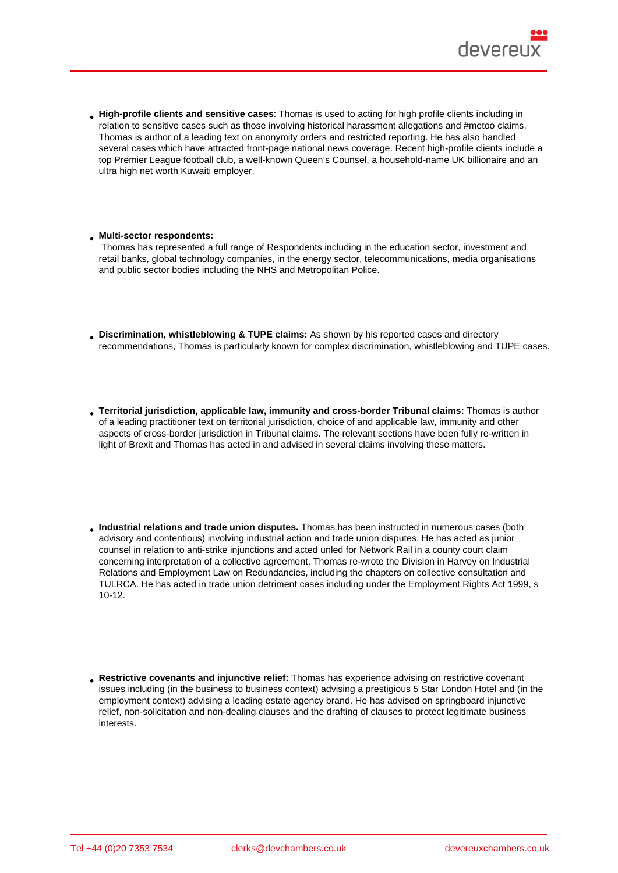- High-profile clients and sensitive cases : Thomas is used to acting for high profile clients including in relation to sensitive cases such as those involving historical harassment allegations and #metoo claims. Thomas is author of a leading text on anonymity orders and restricted reporting. He has also handled several cases which have attracted front-page national news coverage. Recent high-profile clients include a top Premier League football club, a well-known Queen's Counsel, a household-name UK billionaire and an ultra high net worth Kuwaiti employer.
- Multi-sector respondents:

 Thomas has represented a full range of Respondents including in the education sector, investment and retail banks, global technology companies, in the energy sector, telecommunications, media organisations and public sector bodies including the NHS and Metropolitan Police.

- Discrimination, whistleblowing & TUPE claims: As shown by his reported cases and directory recommendations, Thomas is particularly known for complex discrimination, whistleblowing and TUPE cases.
- Territorial jurisdiction, applicable law, immunity and cross-border Tribunal claims: Thomas is author of a leading practitioner text on territorial jurisdiction, choice of and applicable law, immunity and other aspects of cross-border jurisdiction in Tribunal claims. The relevant sections have been fully re-written in light of Brexit and Thomas has acted in and advised in several claims involving these matters.
- Industrial relations and trade union disputes. Thomas has been instructed in numerous cases (both advisory and contentious) involving industrial action and trade union disputes. He has acted as junior counsel in relation to anti-strike injunctions and acted unled for Network Rail in a county court claim concerning interpretation of a collective agreement. Thomas re-wrote the Division in Harvey on Industrial Relations and Employment Law on Redundancies, including the chapters on collective consultation and TULRCA. He has acted in trade union detriment cases including under the Employment Rights Act 1999, s 10-12.
- Restrictive covenants and injunctive relief: Thomas has experience advising on restrictive covenant issues including (in the business to business context) advising a prestigious 5 Star London Hotel and (in the employment context) advising a leading estate agency brand. He has advised on springboard injunctive relief, non-solicitation and non-dealing clauses and the drafting of clauses to protect legitimate business interests.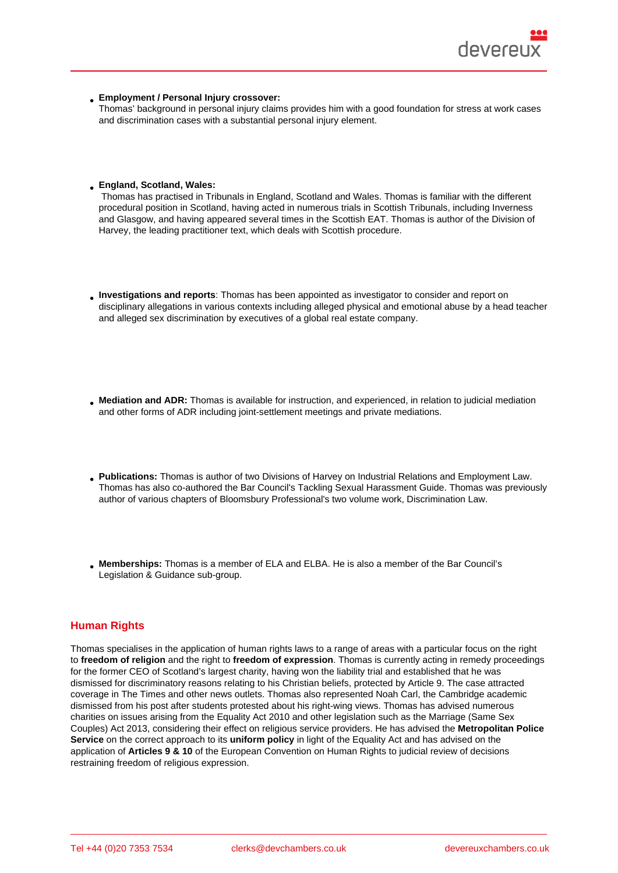- Employment / Personal Injury crossover:
- Thomas' background in personal injury claims provides him with a good foundation for stress at work cases and discrimination cases with a substantial personal injury element.
- England, Scotland, Wales:

 Thomas has practised in Tribunals in England, Scotland and Wales. Thomas is familiar with the different procedural position in Scotland, having acted in numerous trials in Scottish Tribunals, including Inverness and Glasgow, and having appeared several times in the Scottish EAT. Thomas is author of the Division of Harvey, the leading practitioner text, which deals with Scottish procedure.

- Investigations and reports : Thomas has been appointed as investigator to consider and report on disciplinary allegations in various contexts including alleged physical and emotional abuse by a head teacher and alleged sex discrimination by executives of a global real estate company.
- Mediation and ADR: Thomas is available for instruction, and experienced, in relation to judicial mediation and other forms of ADR including joint-settlement meetings and private mediations.
- Publications: Thomas is author of two Divisions of Harvey on Industrial Relations and Employment Law. Thomas has also co-authored the Bar Council's Tackling Sexual Harassment Guide. Thomas was previously author of various chapters of Bloomsbury Professional's two volume work, Discrimination Law.
- Memberships: Thomas is a member of ELA and ELBA. He is also a member of the Bar Council's Legislation & Guidance sub-group.

## Human Rights

Thomas specialises in the application of human rights laws to a range of areas with a particular focus on the right to freedom of religion and the right to freedom of expression . Thomas is currently acting in remedy proceedings for the former CEO of Scotland's largest charity, having won the liability trial and established that he was dismissed for discriminatory reasons relating to his Christian beliefs, protected by Article 9. The case attracted coverage in The Times and other news outlets. Thomas also represented Noah Carl, the Cambridge academic dismissed from his post after students protested about his right-wing views. Thomas has advised numerous charities on issues arising from the Equality Act 2010 and other legislation such as the Marriage (Same Sex Couples) Act 2013, considering their effect on religious service providers. He has advised the Metropolitan Police Service on the correct approach to its uniform policy in light of the Equa[lity Act and](https://www.theguardian.com/education/2019/may/01/cambridge-university-college-dismisses-researcher-far-right-links-noah-carl) has advised on the application of Articles 9 & 10 of the European Convention on Human Rights to judicial review of decisions restraining freedom of religious expression.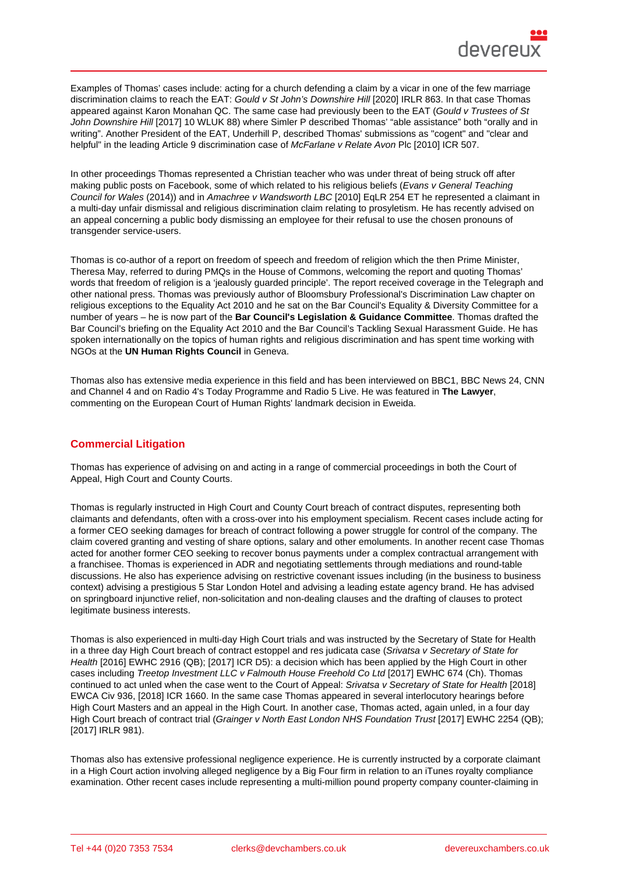Examples of Thomas' cases include: acting for a church defending a claim by a vicar in one of the few marriage discrimination claims to reach the EAT: Gould v St John's Downshire Hill [2020] IRLR 863. In that case Thomas appeared against Karon Monahan QC. The same case had previously been to the EAT (Gould v Trustees of St John Downshire Hill [2017] 10 WLUK 88) where Simler P described Thomas' "able assistance" both "orally and in writing". Another President of the EAT, Underhill P, described Thomas' submissions as "cogent" and "clear and helpful" in the leading Article 9 discrimi[nation case of McFarlane v Relate](https://www.bailii.org/cgi-bin/format.cgi?doc=/uk/cases/UKEAT/2020/0002_20_0506.html&query=(title:(+gould+))+AND+(title:(+v+))+AND+(title:(+st+))+AND+(title:(+John) Avon Plc [2010] ICR 507.

[In other proceedings](https://www.bailii.org/uk/cases/UKEAT/2017/0115_17_0510.html) Thomas represented a Christian teacher who was under threat of being struck off after making public posts on Facebook, some of which related to his religious beliefs (Evans v General Teaching Council for Wales (2014)) and in Amachree v Wands[worth LBC \[2010\] EqLR 25](https://www.bailii.org/uk/cases/UKEAT/2009/0106_09_3011.html)4 ET he represented a claimant in a multi-day unfair dismissal and religious discrimination claim relating to prosyletism. He has recently advised on an appeal concerning a public body dismissi[ng an employee fo](https://www.walesonline.co.uk/news/wales-news/re-teacher-cleared-misconduct-after-8072082)r their refusal to use the chosen pronouns of transgender service-users.

Thomas is co-author of a report on freedom of speech and freedom of religion which the then Prime Minister, Theresa May, referred to during PMQs in the House of Commons, welcoming the report and quoting Thomas' words that freedom of religion is a 'jealously guarded principle'. The report received coverage in the Telegraph and other national press. Thomas was previously author of Bloomsbury Professional's Discrimination Law chapter on religious exceptions to the Equality Act 2010 and he sat on the Bar Council's Equality & Diversity Committee for a number of years – he is now par[t of the](https://hansard.parliament.uk/commons/2016-11-30/debates/9166FE05-E543-4446-9B94-37D3206E9409/OralAnswersToQuestions) Bar Council's Legislation & Guidance Committee . Thomas drafted the Bar Council's briefing on the Equality Act 2010 and the Bar Council's Tackling Sexual Harassment [Guide. He ha](https://www.telegraph.co.uk/news/2016/11/30/christians-should-not-fear-speaking-faith-work-public-places/)s spoken internationally on the topics of human rights and religious discrimination a[nd has spent time w](https://www.bloomsburyprofessional.com/uk/)orking with NGOs at the UN Human Rights Council in Geneva.

Thomas also has extensive media experience in this field and has been interviewed on BBC1, BBC News 24, CNN and Channel 4 and on Radio 4's Today Programme and Radio 5 Live. He was featured in The Lawyer , commenting on the European Court of Human Rights' landmark decision in Eweida.

## Commercial Litigation

Thomas has experience of advising on and acting in a range of commercial proceedings in both the Court of Appeal, High Court and County Courts.

Thomas is regularly instructed in High Court and County Court breach of contract disputes, representing both claimants and defendants, often with a cross-over into his employment specialism. Recent cases include acting for a former CEO seeking damages for breach of contract following a power struggle for control of the company. The claim covered granting and vesting of share options, salary and other emoluments. In another recent case Thomas acted for another former CEO seeking to recover bonus payments under a complex contractual arrangement with a franchisee. Thomas is experienced in ADR and negotiating settlements through mediations and round-table discussions. He also has experience advising on restrictive covenant issues including (in the business to business context) advising a prestigious 5 Star London Hotel and advising a leading estate agency brand. He has advised on springboard injunctive relief, non-solicitation and non-dealing clauses and the drafting of clauses to protect legitimate business interests.

Thomas is also experienced in multi-day High Court trials and was instructed by the Secretary of State for Health in a three day High Court breach of contract estoppel and res judicata case (Srivatsa v Secretary of State for Health [2016] EWHC 2916 (QB); [2017] ICR D5): a decision which has been applied by the High Court in other cases including Treetop Investment LLC v Falmouth House Freehold Co Ltd [2017] EWHC 674 (Ch). Thomas continued to act unled when the case went to the Court of Appeal: Srivatsa v Secretary of State for Health [2018] EWCA Civ 936, [2018] ICR 1660. In the same case Thomas appeared in se[veral interlocutory hearings before](https://www.bailii.org/ew/cases/EWHC/QB/2016/2916.html) [High C](https://www.bailii.org/ew/cases/EWHC/QB/2016/2916.html)ourt Masters and an appeal in the High Court. In another case, Thomas acted, again unled, in a four day High Court breach of contract trial (Grainger v North East London NHS Foundation Trust [2017] EWHC 2254 (QB); [2017] IRLR 981).

Thomas also has extensive professional negligence experience. He is currently instructed by a corporate claimant in a High Court action involving all[eged negligence by a Big Four firm in relation to an iTu](https://www.bailii.org/ew/cases/EWHC/QB/2017/2254.html)nes royalty compliance examination. Other recent cases include representing a multi-million pound property company counter-claiming in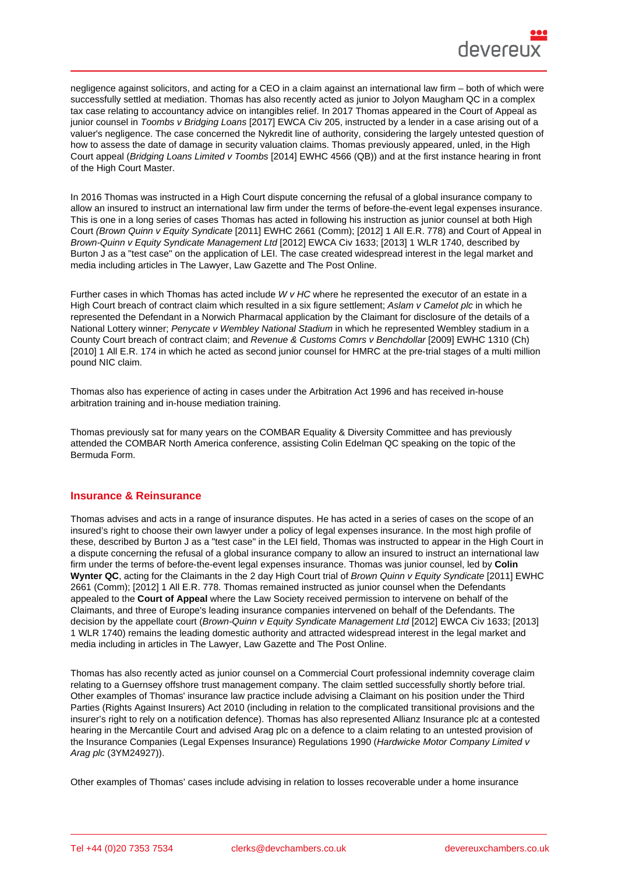negligence against solicitors, and acting for a CEO in a claim against an international law firm – both of which were successfully settled at mediation. Thomas has also recently acted as junior to Jolyon Maugham QC in a complex tax case relating to accountancy advice on intangibles relief. In 2017 Thomas appeared in the Court of Appeal as junior counsel in Toombs v Bridging Loans [2017] EWCA Civ 205, instructed by a lender in a case arising out of a valuer's negligence. The case concerned the Nykredit line of authority, considering the largely untested question of how to assess the date of damage in security valuation claims. Thomas previously appeared, unled, in the High Court appeal (Bridging Loans Limited v Toombs [2014] EWHC 4566 (QB)) and at the first instance hearing in front of the High Court Master.

In 2016 Thomas was instructed in a High Court dispute concerning the refusal of a global insurance company to allow an insured to instruct an international law firm under the terms of before-the-event legal expenses insurance. This is one in a long series of cases Thomas has acted in following his instruction as junior counsel at both High Court (Brown Quinn v Equity Syndicate [2011] EWHC 2661 (Comm); [2012] 1 All E.R. 778) and Court of Appeal in Brown-Quinn v Equity Syndicate Management Ltd [2012] EWCA Civ 1633; [2013] 1 WLR 1740, described by Burton J as a "test case" on the application of LEI. The case created widespread interest in the legal market and media including articles in The Lawyer, Law Gazette and The Post Online.

Further cases in which Thomas has acted include W v HC where he represented the executor of an estate in a High Court breach of contract claim which resulted in a six figure settlement; Aslam v Camelot plc in which he represented the Defendant in a Norwich Pharmacal application by the Claimant for disclosure of the details of a National Lottery winner; Penycate v Wembley National Stadium in which he represented Wembley stadium in a County Court breach of contract claim; and Revenue & Customs Comrs v Benchdollar [2009] EWHC 1310 (Ch) [2010] 1 All E.R. 174 in which he acted as second junior counsel for HMRC at the pre-trial stages of a multi million pound NIC claim.

Thomas also has experience of acting in ca[ses under the Arbitration Act 1996 and has](https://www.bailii.org/ew/cases/EWHC/Ch/2009/1310.html) received in-house arbitration training and in-house mediation training.

Thomas previously sat for many years on the COMBAR Equality & Diversity Committee and has previously attended the COMBAR North America conference, assisting Colin Edelman QC speaking on the topic of the Bermuda Form.

## Insurance & Reinsurance

Thomas advises and acts in a range of insurance disputes. He has acted in a series of cases on the scope of an insured's right to choose their own lawyer under a policy of legal expenses insurance. In the most high profile of these, described by Burton J as a "test case" in the LEI field, Thomas was instructed to appear in the High Court in a dispute concerning the refusal of a global insurance company to allow an insured to instruct an international law firm under the terms of before-the-event legal expenses insurance. Thomas was junior counsel, led by Colin Wynter QC , acting for the Claimants in the 2 day High Court trial of Brown Quinn v Equity Syndicate [2011] EWHC 2661 (Comm); [2012] 1 All E.R. 778. Thomas remained instructed as junior counsel when the Defendants appealed to the Court of Appeal where the Law Society received permission to intervene on behalf of the Claimants, and three of Europe's leading insurance companies intervened on behalf of the Defendants. The decision by the appellate court (Brown-Quinn v Equity Syndicate M[anagement Ltd \[2012\] EWCA Civ](https://www.bailii.org/ew/cases/EWHC/Comm/2011/2661.html) 1633; [2013] 1 WLR 1740) remains the leading domestic authority and attracted widespread interest in the legal market and media including in articles in The Lawyer, Law Gazette and The Post Online.

Thomas has also recently acte[d as junior counsel on a Commercial Court professio](https://www.bailii.org/ew/cases/EWCA/Civ/2012/1633.html)nal indemnity coverage claim relating to a Guernsey offshore trust management company. The claim settled successfully shortly before trial. Other examples of Thomas' insurance law practice include advising a Claimant on his position under the Third Parties (Rights Against Insurers) Act 2010 (including in relation to the complicated transitional provisions and the insurer's right to rely on a notification defence). Thomas has also represented Allianz Insurance plc at a contested hearing in the Mercantile Court and advised Arag plc on a defence to a claim relating to an untested provision of the Insurance Companies (Legal Expenses Insurance) Regulations 1990 (Hardwicke Motor Company Limited v Arag plc (3YM24927)).

Other examples of Thomas' cases include advising in relation to losses recoverable under a home insurance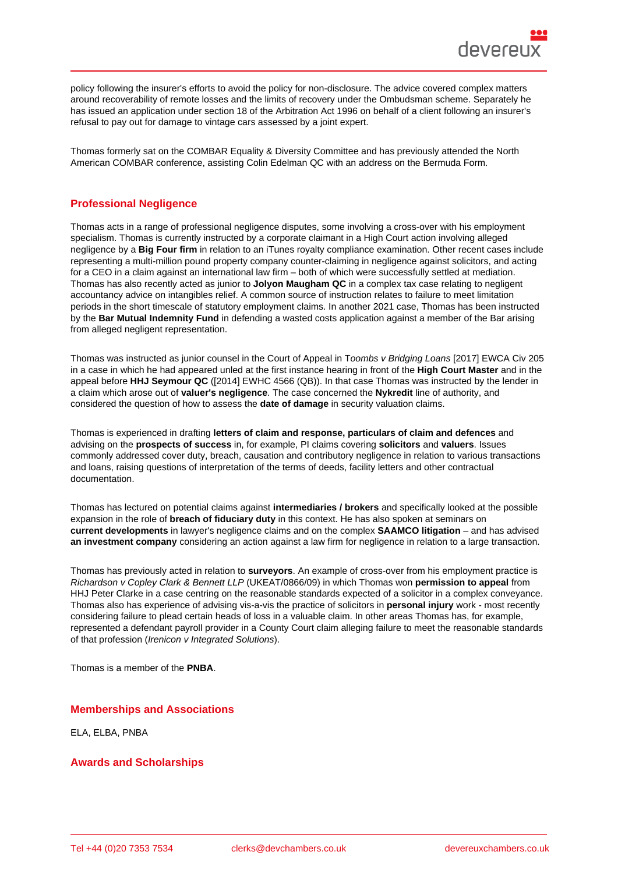policy following the insurer's efforts to avoid the policy for non-disclosure. The advice covered complex matters around recoverability of remote losses and the limits of recovery under the Ombudsman scheme. Separately he has issued an application under section 18 of the Arbitration Act 1996 on behalf of a client following an insurer's refusal to pay out for damage to vintage cars assessed by a joint expert.

Thomas formerly sat on the COMBAR Equality & Diversity Committee and has previously attended the North American COMBAR conference, assisting Colin Edelman QC with an address on the Bermuda Form.

## Professional Negligence

Thomas acts in a range of professional negligence disputes, some involving a cross-over with his employment specialism. Thomas is currently instructed by a corporate claimant in a High Court action involving alleged negligence by a Big Four firm in relation to an iTunes royalty compliance examination. Other recent cases include representing a multi-million pound property company counter-claiming in negligence against solicitors, and acting for a CEO in a claim against an international law firm – both of which were successfully settled at mediation. Thomas has also recently acted as junior to Jolyon Maugham QC in a complex tax case relating to negligent accountancy advice on intangibles relief. A common source of instruction relates to failure to meet limitation periods in the short timescale of statutory employment claims. In another 2021 case, Thomas has been instructed by the Bar Mutual Indemnity Fund in defending a wasted costs application against a member of the Bar arising from alleged negligent representation.

Thomas was instructed as junior counsel in the Court of Appeal in Toombs v Bridging Loans [2017] EWCA Civ 205 in a case in which he had appeared unled at the first instance hearing in front of the High Court Master and in the appeal before HHJ Seymour QC ([2014] EWHC 4566 (QB)). In that case Thomas was instructed by the lender in a claim which arose out of valuer's negligence . The case concerned the Nykredit line of authority, and considered the question of how to assess the date of damage in security valuation claims.

Thomas is experienced in drafting letters of claim and response, particulars of claim and defences and advising on the prospects of success in, for example, PI claims covering solicitors and valuers . Issues commonly addressed cover duty, breach, causation and contributory negligence in relation to various transactions and loans, raising questions of interpretation of the terms of deeds, facility letters and other contractual documentation.

Thomas has lectured on potential claims against intermediaries / brokers and specifically looked at the possible expansion in the role of breach of fiduciary duty in this context. He has also spoken at seminars on current developments in lawyer's negligence claims and on the complex SAAMCO litigation – and has advised an investment company considering an action against a law firm for negligence in relation to a large transaction.

Thomas has previously acted in relation to surveyors . An example of cross-over from his employment practice is Richardson v Copley Clark & Bennett LLP (UKEAT/0866/09) in which Thomas won permission to appeal from HHJ Peter Clarke in a case centring on the reasonable standards expected of a solicitor in a complex conveyance. Thomas also has experience of advising vis-a-vis the practice of solicitors in personal injury work - most recently considering failure to plead certain heads of loss in a valuable claim. In other areas Thomas has, for example, represented a defendant payroll provider in a County Court claim alleging failure to meet the reasonable standards of that profession (Irenicon v Integrated Solutions).

Thomas is a member of the PNBA.

#### Memberships and Associations

ELA, ELBA, PNBA

## Awards and Scholarships